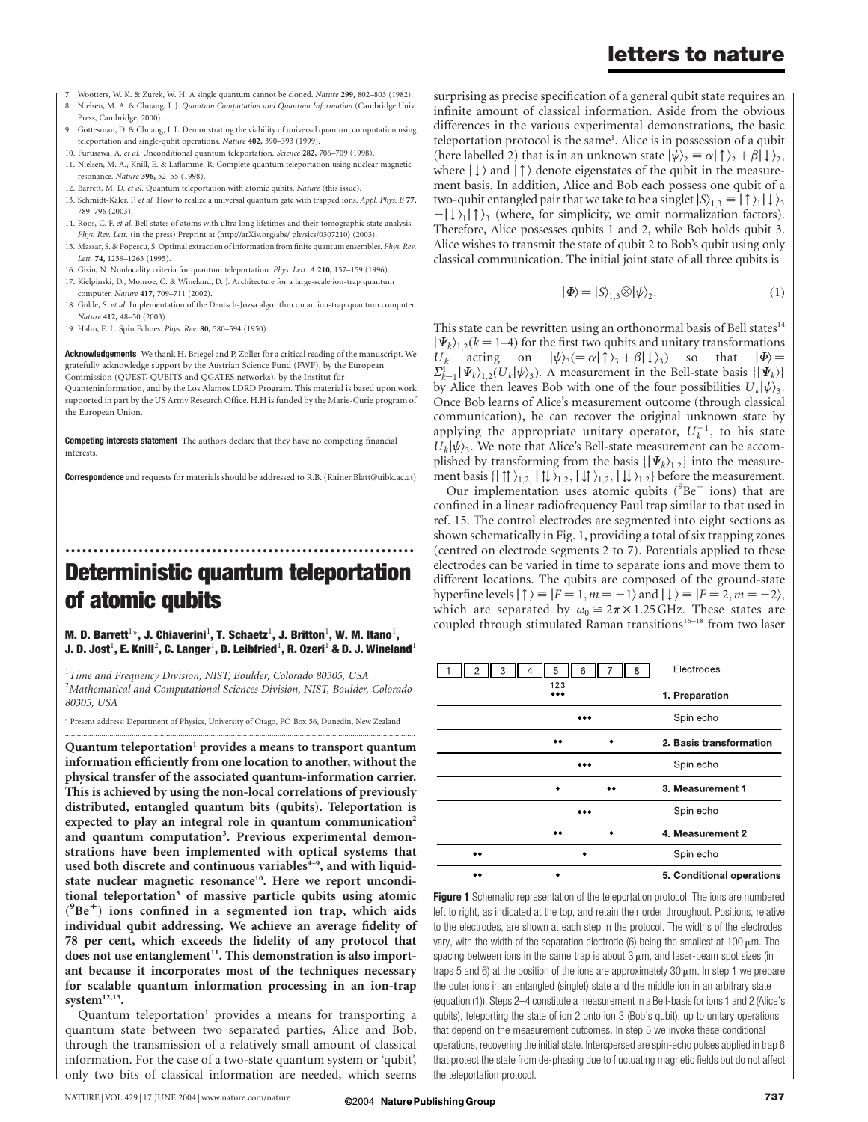- 7. Wootters, W. K. & Zurek, W. H. A single quantum cannot be cloned. Nature 299, 802–803 (1982).
- 8. Nielsen, M. A. & Chuang, I. J. Quantum Computation and Quantum Information (Cambridge Univ. Press, Cambridge, 2000).
- 9. Gottesman, D. & Chuang, I. L. Demonstrating the viability of universal quantum computation using teleportation and single-qubit operations. Nature 402, 390-393 (1999)
- 10. Furusawa, A. et al. Unconditional quantum teleportation. Science 282, 706–709 (1998).
- 11. Nielsen, M. A., Knill, E. & Laflamme, R. Complete quantum teleportation using nuclear magnetic resonance. Nature 396, 52–55 (1998).
- 12. Barrett, M. D. et al. Quantum teleportation with atomic qubits. Nature (this issue).
- 13. Schmidt-Kaler, F. et al. How to realize a universal quantum gate with trapped ions. Appl. Phys. B 77, 789–796 (2003).
- 14. Roos, C. F. et al. Bell states of atoms with ultra long lifetimes and their tomographic state analysis. Phys. Rev. Lett. (in the press) Preprint at  $\langle \text{http://arXiv.org/abs/ physics/0307210} \rangle$  (2003).
- 15. Massar, S. & Popescu, S. Optimal extraction of information from finite quantum ensembles. Phys. Rev. Lett. 74, 1259–1263 (1995).
- 16. Gisin, N. Nonlocality criteria for quantum teleportation. Phys. Lett. A 210, 157–159 (1996).
- 17. Kielpinski, D., Monroe, C. & Wineland, D. J. Architecture for a large-scale ion-trap quantum computer. Nature 417, 709–711 (2002).
- 18. Gulde, S. et al. Implementation of the Deutsch-Jozsa algorithm on an ion-trap quantum computer. Nature 412, 48–50 (2003).
- 19. Hahn, E. L. Spin Echoes. Phys. Rev. 80, 580–594 (1950).

Acknowledgements We thank H. Briegel and P. Zoller for a critical reading of the manuscript. We gratefully acknowledge support by the Austrian Science Fund (FWF), by the European Commission (QUEST, QUBITS and QGATES networks), by the Institut fur

Quanteninformation, and by the Los Alamos LDRD Program. This material is based upon work supported in part by the US Army Research Office. H.H is funded by the Marie-Curie program of the European Union.

Competing interests statement The authors declare that they have no competing financial interests.

Correspondence and requests for materials should be addressed to R.B. (Rainer.Blatt@uibk.ac.at)

# .............................................................. Deterministic quantum teleportation of atomic qubits

M. D. Barrett $^{1\star}$ , J. Chiaverini $^{1}$ , T. Schaetz $^{1}$ , J. Britton $^{1}$ , W. M. Itano $^{1}$ , J. D. Jost $^1$ , E. Knill $^2$ , C. Langer $^1$ , D. Leibfried $^1$ , R. Ozeri $^1$  & D. J. Wineland $^1$ 

<sup>1</sup>Time and Frequency Division, NIST, Boulder, Colorado 80305, USA  $^{2}$ Mathematical and Computational Sciences Division, NIST, Boulder, Colorado 80305, USA

\* Present address: Department of Physics, University of Otago, PO Box 56, Dunedin, New Zealand .............................................................................................................................................................................

Quantum teleportation<sup>1</sup> provides a means to transport quantum information efficiently from one location to another, without the physical transfer of the associated quantum-information carrier. This is achieved by using the non-local correlations of previously distributed, entangled quantum bits (qubits). Teleportation is expected to play an integral role in quantum communication<sup>2</sup> and quantum computation<sup>3</sup>. Previous experimental demonstrations have been implemented with optical systems that used both discrete and continuous variables $4-9$ , and with liquidstate nuclear magnetic resonance<sup>10</sup>. Here we report unconditional teleportation<sup>5</sup> of massive particle qubits using atomic (<sup>9</sup>Be<sup>+</sup>) ions confined in a segmented ion trap, which aids individual qubit addressing. We achieve an average fidelity of 78 per cent, which exceeds the fidelity of any protocol that does not use entanglement<sup>11</sup>. This demonstration is also important because it incorporates most of the techniques necessary for scalable quantum information processing in an ion-trap system<sup>12,13</sup>.

Quantum teleportation<sup>1</sup> provides a means for transporting a quantum state between two separated parties, Alice and Bob, through the transmission of a relatively small amount of classical information. For the case of a two-state quantum system or 'qubit', only two bits of classical information are needed, which seems

surprising as precise specification of a general qubit state requires an infinite amount of classical information. Aside from the obvious differences in the various experimental demonstrations, the basic teleportation protocol is the same<sup>1</sup>. Alice is in possession of a qubit (here labelled 2) that is in an unknown state  $|\psi\rangle_2 \equiv \alpha |\uparrow\rangle_2 + \beta |\downarrow\rangle_2$ , where  $| \downarrow \rangle$  and  $| \uparrow \rangle$  denote eigenstates of the qubit in the measurement basis. In addition, Alice and Bob each possess one qubit of a two-qubit entangled pair that we take to be a singlet  $|S\rangle_{13} \equiv | \uparrow \rangle_{1} | \downarrow \rangle_{3}$  $-|\downarrow\rangle$ <sub>1</sub>  $|\uparrow\rangle$ <sub>3</sub> (where, for simplicity, we omit normalization factors). Therefore, Alice possesses qubits 1 and 2, while Bob holds qubit 3. Alice wishes to transmit the state of qubit 2 to Bob's qubit using only classical communication. The initial joint state of all three qubits is

$$
|\Phi\rangle = |S\rangle_{1,3} \otimes |\psi\rangle_{2}.
$$
 (1)

This state can be rewritten using an orthonormal basis of Bell states<sup>14</sup>  $\left|\Psi_{k}\right\rangle_{1,2}(k=1-4)$  for the first two qubits and unitary transformations  $U_k$  acting on  $|\psi\rangle_3 = \alpha |\uparrow\rangle_3 + \beta |\downarrow\rangle_3$  so that  $|\Phi\rangle =$  $\sum_{k=1}^{4} |\Psi_k\rangle_{1,2}(U_k|\psi\rangle_3)$ . A measurement in the Bell-state basis  $\{|\Psi_k\rangle\}$ by Alice then leaves Bob with one of the four possibilities  $U_k|\psi\rangle_3$ . Once Bob learns of Alice's measurement outcome (through classical communication), he can recover the original unknown state by applying the appropriate unitary operator,  $U_k^{-1}$ , to his state  $U_k|\psi\rangle_3$ . We note that Alice's Bell-state measurement can be accomplished by transforming from the basis  $\{|\Psi_k\rangle_{1,2}\}$  into the measurement basis  $\{|\uparrow\uparrow\rangle_{1,2}, |\downarrow\downarrow\rangle_{1,2}, |\downarrow\downarrow\rangle_{1,2}\}$  before the measurement.

Our implementation uses atomic qubits ( $^{9}Be^{+}$  ions) that are confined in a linear radiofrequency Paul trap similar to that used in ref. 15. The control electrodes are segmented into eight sections as shown schematically in Fig. 1, providing a total of six trapping zones (centred on electrode segments 2 to 7). Potentials applied to these electrodes can be varied in time to separate ions and move them to different locations. The qubits are composed of the ground-state hyperfine levels  $| \uparrow \rangle = |F = 1, m = -1 \rangle$  and  $| \downarrow \rangle = |F = 2, m = -2 \rangle$ , which are separated by  $\omega_0 \approx 2\pi \times 1.25 \text{ GHz}$ . These states are coupled through stimulated Raman transitions<sup>16–18</sup> from two laser

| 2<br>3 | 5<br>6  | Electrodes<br>8           |
|--------|---------|---------------------------|
|        | 123<br> | 1 Preparation             |
|        |         | Spin echo                 |
|        |         | 2. Basis transformation   |
|        |         | Spin echo                 |
|        |         | 3. Measurement 1          |
|        |         | Spin echo                 |
|        |         | 4. Measurement 2          |
|        |         | Spin echo                 |
|        |         | 5. Conditional operations |

Figure 1 Schematic representation of the teleportation protocol. The ions are numbered left to right, as indicated at the top, and retain their order throughout. Positions, relative to the electrodes, are shown at each step in the protocol. The widths of the electrodes vary, with the width of the separation electrode (6) being the smallest at 100  $\mu$ m. The spacing between ions in the same trap is about  $3 \mu m$ , and laser-beam spot sizes (in traps 5 and 6) at the position of the ions are approximately 30  $\mu$ m. In step 1 we prepare the outer ions in an entangled (singlet) state and the middle ion in an arbitrary state (equation (1)). Steps 2–4 constitute a measurement in a Bell-basis for ions 1 and 2 (Alice's qubits), teleporting the state of ion 2 onto ion 3 (Bob's qubit), up to unitary operations that depend on the measurement outcomes. In step 5 we invoke these conditional operations, recovering the initial state. Interspersed are spin-echo pulses applied in trap 6 that protect the state from de-phasing due to fluctuating magnetic fields but do not affect the teleportation protocol.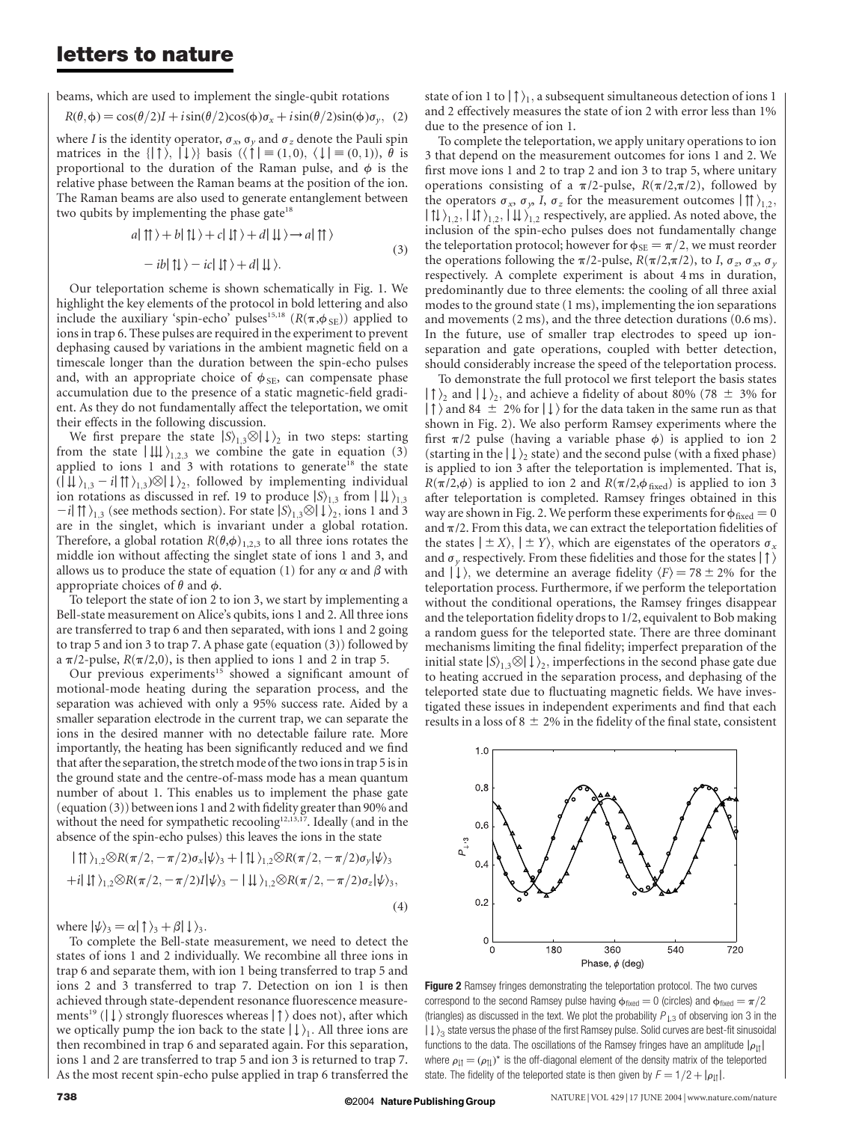### letters to nature

beams, which are used to implement the single-qubit rotations

$$
R(\theta, \phi) = \cos(\theta/2)I + i\sin(\theta/2)\cos(\phi)\sigma_x + i\sin(\theta/2)\sin(\phi)\sigma_y, (2)
$$

where I is the identity operator,  $\sigma_x$ ,  $\sigma_y$  and  $\sigma_z$  denote the Pauli spin matrices in the  $\{|\uparrow\rangle, |\downarrow\rangle\}$  basis  $(\langle \uparrow | \equiv (1,0), \langle \downarrow | \equiv (0,1)), \theta$  is proportional to the duration of the Raman pulse, and  $\phi$  is the relative phase between the Raman beams at the position of the ion. The Raman beams are also used to generate entanglement between two qubits by implementing the phase gate $18$ 

$$
a|\uparrow\rangle + b|\uparrow\rangle + c|\downarrow\rangle + d|\downarrow\rangle \rightarrow a|\uparrow\rangle
$$
  
- 
$$
-ib|\uparrow\rangle - ic|\downarrow\rangle + d|\downarrow\rangle.
$$
 (3)

Our teleportation scheme is shown schematically in Fig. 1. We highlight the key elements of the protocol in bold lettering and also include the auxiliary 'spin-echo' pulses<sup>15,18</sup> ( $R(\pi,\phi_{SE})$ ) applied to ions in trap 6. These pulses are required in the experiment to prevent dephasing caused by variations in the ambient magnetic field on a timescale longer than the duration between the spin-echo pulses and, with an appropriate choice of  $\phi_{SE}$ , can compensate phase accumulation due to the presence of a static magnetic-field gradient. As they do not fundamentally affect the teleportation, we omit their effects in the following discussion.

We first prepare the state  $|S\rangle_{1,3}\otimes|\downarrow\rangle_2$  in two steps: starting from the state  $\left| \downarrow \downarrow \right\rangle_{1,2,3}$  we combine the gate in equation (3) applied to ions 1 and 3 with rotations to generate<sup>18</sup> the state  $\langle \langle \downarrow \downarrow \rangle_{1,3} - i | \uparrow \uparrow \rangle_{1,3} \otimes \langle \downarrow \rangle_{2}$ , followed by implementing individual ion rotations as discussed in ref. 19 to produce  $|S\rangle_{1,3}$  from  $|\downarrow \downarrow \rangle_{1,3}$  $-i$ |  $\uparrow \uparrow$ )<sub>1,3</sub> (see methods section). For state  $|S\rangle$ <sub>1,3</sub> $\otimes$ |  $\downarrow$ )<sub>2</sub>, ions 1 and 3 are in the singlet, which is invariant under a global rotation. Therefore, a global rotation  $R(\theta,\phi)_{1,2,3}$  to all three ions rotates the middle ion without affecting the singlet state of ions 1 and 3, and allows us to produce the state of equation (1) for any  $\alpha$  and  $\beta$  with appropriate choices of  $\theta$  and  $\phi$ .

To teleport the state of ion 2 to ion 3, we start by implementing a Bell-state measurement on Alice's qubits, ions 1 and 2. All three ions are transferred to trap 6 and then separated, with ions 1 and 2 going to trap 5 and ion 3 to trap 7. A phase gate (equation (3)) followed by a  $\pi/2$ -pulse,  $R(\pi/2,0)$ , is then applied to ions 1 and 2 in trap 5.

Our previous experiments<sup>15</sup> showed a significant amount of motional-mode heating during the separation process, and the separation was achieved with only a 95% success rate. Aided by a smaller separation electrode in the current trap, we can separate the ions in the desired manner with no detectable failure rate. More importantly, the heating has been significantly reduced and we find that after the separation, the stretch mode of the two ions in trap 5 is in the ground state and the centre-of-mass mode has a mean quantum number of about 1. This enables us to implement the phase gate (equation (3)) between ions 1 and 2 with fidelity greater than 90% and without the need for sympathetic recooling<sup>12,13,17</sup>. Ideally (and in the absence of the spin-echo pulses) this leaves the ions in the state

$$
|\uparrow\uparrow\rangle_{1,2} \otimes R(\pi/2, -\pi/2)\sigma_x|\psi\rangle_3 + |\uparrow\downarrow\rangle_{1,2} \otimes R(\pi/2, -\pi/2)\sigma_y|\psi\rangle_3
$$
  
+*i*|  $\downarrow\uparrow\rangle_{1,2} \otimes R(\pi/2, -\pi/2)I|\psi\rangle_3 - |\downarrow\downarrow\rangle_{1,2} \otimes R(\pi/2, -\pi/2)\sigma_z|\psi\rangle_3,$   
(4)

where  $|\psi\rangle_3 = \alpha |\uparrow\rangle_3 + \beta |\downarrow\rangle_3$ .

To complete the Bell-state measurement, we need to detect the states of ions 1 and 2 individually. We recombine all three ions in trap 6 and separate them, with ion 1 being transferred to trap 5 and ions 2 and 3 transferred to trap 7. Detection on ion 1 is then achieved through state-dependent resonance fluorescence measurements<sup>19</sup> ( $\downarrow$ ) strongly fluoresces whereas  $\uparrow$ ) does not), after which we optically pump the ion back to the state  $|\downarrow\rangle$ . All three ions are then recombined in trap 6 and separated again. For this separation, ions 1 and 2 are transferred to trap 5 and ion 3 is returned to trap 7. As the most recent spin-echo pulse applied in trap 6 transferred the state of ion 1 to  $|\uparrow\rangle_1$ , a subsequent simultaneous detection of ions 1 and 2 effectively measures the state of ion 2 with error less than 1% due to the presence of ion 1.

To complete the teleportation, we apply unitary operations to ion 3 that depend on the measurement outcomes for ions 1 and 2. We first move ions 1 and 2 to trap 2 and ion 3 to trap 5, where unitary operations consisting of a  $\pi/2$ -pulse,  $R(\pi/2,\pi/2)$ , followed by the operators  $\sigma_x$ ,  $\sigma_y$ , I,  $\sigma_z$  for the measurement outcomes  $\left| \uparrow \right\rangle_{1,2}$ ;  $\left| \uparrow \downarrow \right\rangle_{1,2}, \left| \downarrow \right\rangle_{1,2}$  respectively, are applied. As noted above, the inclusion of the spin-echo pulses does not fundamentally change the teleportation protocol; however for  $\phi_{SE} = \pi/2$ , we must reorder the operations following the  $\pi/2$ -pulse,  $R(\pi/2,\pi/2)$ , to I,  $\sigma_z$ ,  $\sigma_x$ ,  $\sigma_y$ respectively. A complete experiment is about 4 ms in duration, predominantly due to three elements: the cooling of all three axial modes to the ground state (1 ms), implementing the ion separations and movements (2 ms), and the three detection durations (0.6 ms). In the future, use of smaller trap electrodes to speed up ionseparation and gate operations, coupled with better detection, should considerably increase the speed of the teleportation process.

To demonstrate the full protocol we first teleport the basis states  $| \uparrow \rangle$ <sub>2</sub> and  $| \downarrow \rangle$ <sub>2</sub>, and achieve a fidelity of about 80% (78  $\pm$  3% for  $| \uparrow \rangle$  and 84  $\pm$  2% for  $| \downarrow \rangle$  for the data taken in the same run as that shown in Fig. 2). We also perform Ramsey experiments where the first  $\pi/2$  pulse (having a variable phase  $\phi$ ) is applied to ion 2 (starting in the  $\vert \downarrow \rangle$  state) and the second pulse (with a fixed phase) is applied to ion 3 after the teleportation is implemented. That is,  $R(\pi/2,\phi)$  is applied to ion 2 and  $R(\pi/2,\phi_{\text{fixed}})$  is applied to ion 3 after teleportation is completed. Ramsey fringes obtained in this way are shown in Fig. 2. We perform these experiments for  $\phi_{\text{fixed}} = 0$ and  $\pi/2$ . From this data, we can extract the teleportation fidelities of the states  $|\pm X\rangle$ ,  $|\pm Y\rangle$ , which are eigenstates of the operators  $\sigma_x$ and  $\sigma_{\nu}$  respectively. From these fidelities and those for the states  $| \uparrow \rangle$ and  $| \downarrow \rangle$ , we determine an average fidelity  $\langle F \rangle = 78 \pm 2\%$  for the teleportation process. Furthermore, if we perform the teleportation without the conditional operations, the Ramsey fringes disappear and the teleportation fidelity drops to 1/2, equivalent to Bob making a random guess for the teleported state. There are three dominant mechanisms limiting the final fidelity; imperfect preparation of the initial state  $|S\rangle_{1,3}\otimes|\downarrow\rangle_{2}$ , imperfections in the second phase gate due to heating accrued in the separation process, and dephasing of the teleported state due to fluctuating magnetic fields. We have investigated these issues in independent experiments and find that each results in a loss of  $8 \pm 2\%$  in the fidelity of the final state, consistent